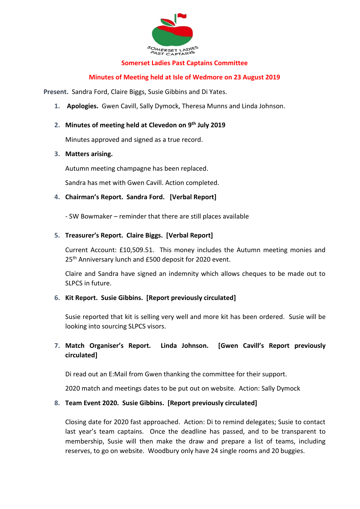

### **Somerset Ladies Past Captains Committee**

### **Minutes of Meeting held at Isle of Wedmore on 23 August 2019**

**Present.** Sandra Ford, Claire Biggs, Susie Gibbins and Di Yates.

**1. Apologies.** Gwen Cavill, Sally Dymock, Theresa Munns and Linda Johnson.

# **2. Minutes of meeting held at Clevedon on 9 th July 2019**

Minutes approved and signed as a true record.

### **3. Matters arising.**

Autumn meeting champagne has been replaced.

Sandra has met with Gwen Cavill. Action completed.

### **4. Chairman's Report. Sandra Ford. [Verbal Report]**

- SW Bowmaker – reminder that there are still places available

### **5. Treasurer's Report. Claire Biggs. [Verbal Report]**

Current Account: £10,509.51. This money includes the Autumn meeting monies and 25<sup>th</sup> Anniversary lunch and £500 deposit for 2020 event.

Claire and Sandra have signed an indemnity which allows cheques to be made out to SLPCS in future.

### **6. Kit Report. Susie Gibbins. [Report previously circulated]**

Susie reported that kit is selling very well and more kit has been ordered. Susie will be looking into sourcing SLPCS visors.

# **7. Match Organiser's Report. Linda Johnson. [Gwen Cavill's Report previously circulated]**

Di read out an E:Mail from Gwen thanking the committee for their support.

2020 match and meetings dates to be put out on website. Action: Sally Dymock

### **8. Team Event 2020. Susie Gibbins. [Report previously circulated]**

Closing date for 2020 fast approached. Action: Di to remind delegates; Susie to contact last year's team captains. Once the deadline has passed, and to be transparent to membership, Susie will then make the draw and prepare a list of teams, including reserves, to go on website. Woodbury only have 24 single rooms and 20 buggies.